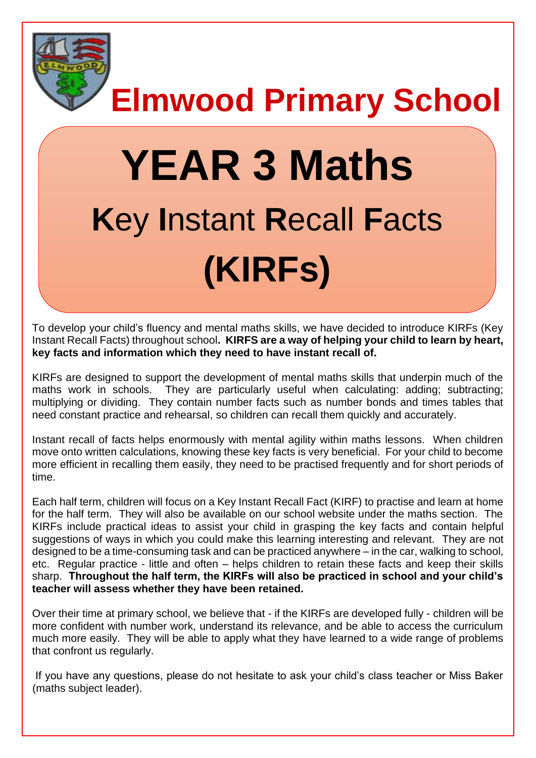

**Elmwood Primary School**

# **YEAR 3 Maths K**ey **I**nstant **R**ecall **F**acts **(KIRFs)**

To develop your child's fluency and mental maths skills, we have decided to introduce KIRFs (Key Instant Recall Facts) throughout school**. KIRFS are a way of helping your child to learn by heart, key facts and information which they need to have instant recall of.** 

KIRFs are designed to support the development of mental maths skills that underpin much of the maths work in schools. They are particularly useful when calculating: adding; subtracting; multiplying or dividing. They contain number facts such as number bonds and times tables that need constant practice and rehearsal, so children can recall them quickly and accurately.

Instant recall of facts helps enormously with mental agility within maths lessons. When children move onto written calculations, knowing these key facts is very beneficial. For your child to become more efficient in recalling them easily, they need to be practised frequently and for short periods of time.

Each half term, children will focus on a Key Instant Recall Fact (KIRF) to practise and learn at home for the half term. They will also be available on our school website under the maths section. The KIRFs include practical ideas to assist your child in grasping the key facts and contain helpful suggestions of ways in which you could make this learning interesting and relevant.They are not designed to be a time-consuming task and can be practiced anywhere – in the car, walking to school, etc. Regular practice - little and often – helps children to retain these facts and keep their skills sharp. **Throughout the half term, the KIRFs will also be practiced in school and your child's teacher will assess whether they have been retained.** 

Over their time at primary school, we believe that - if the KIRFs are developed fully - children will be more confident with number work, understand its relevance, and be able to access the curriculum much more easily. They will be able to apply what they have learned to a wide range of problems that confront us regularly.

If you have any questions, please do not hesitate to ask your child's class teacher or Miss Baker (maths subject leader).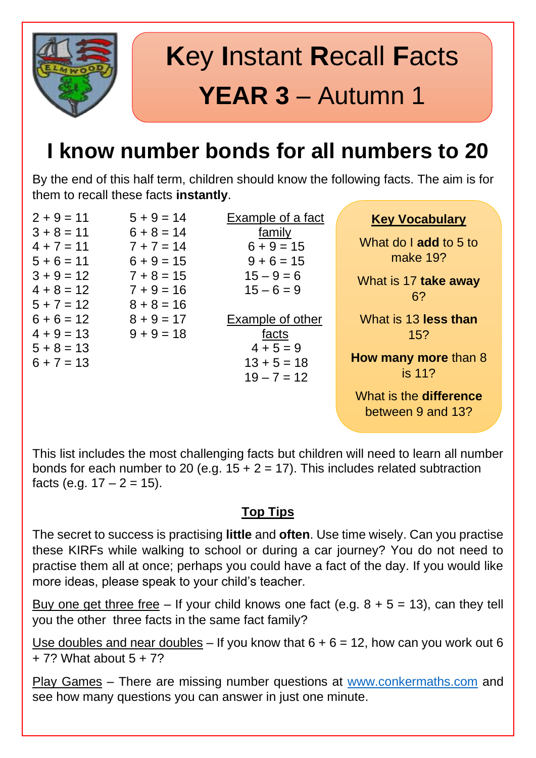

## **I know number bonds for all numbers to 20**

By the end of this half term, children should know the following facts. The aim is for them to recall these facts **instantly**.

 $2 + 9 = 11$   $5 + 9 = 14$  Example of a fact  $3 + 8 = 11$  6 + 8 = 14 family  $4 + 7 = 11$   $7 + 7 = 14$   $6 + 9 = 15$  $5 + 6 = 11$   $6 + 9 = 15$   $9 + 6 = 15$  $3 + 9 = 12$   $7 + 8 = 15$   $15 - 9 = 6$  $4 + 8 = 12$   $7 + 9 = 16$   $15 - 6 = 9$  $5 + 7 = 12$   $8 + 8 = 16$  $6 + 6 = 12$   $8 + 9 = 17$  Example of other  $4 + 9 = 13$   $9 + 9 = 18$  facts  $5 + 8 = 13$   $4 + 5 = 9$  $6 + 7 = 13$  13 + 5 = 18

 $19 - 7 = 12$ 

#### **Key Vocabulary**

What do I **add** to 5 to make 19?

What is 17 **take away** 6?

What is 13 **less than** 15?

**How many more** than 8 is 11?

What is the **difference** between 9 and 13?

This list includes the most challenging facts but children will need to learn all number bonds for each number to 20 (e.g.  $15 + 2 = 17$ ). This includes related subtraction facts (e.g.  $17 - 2 = 15$ ).

### **Top Tips**

The secret to success is practising **little** and **often**. Use time wisely. Can you practise these KIRFs while walking to school or during a car journey? You do not need to practise them all at once; perhaps you could have a fact of the day. If you would like more ideas, please speak to your child's teacher.

Buy one get three free – If your child knows one fact (e.g.  $8 + 5 = 13$ ), can they tell you the other three facts in the same fact family?

Use doubles and near doubles – If you know that  $6 + 6 = 12$ , how can you work out 6  $+ 7$ ? What about  $5 + 7$ ?

Play Games – There are missing number questions at [www.conkermaths.com](http://www.conkermaths.com/) and see how many questions you can answer in just one minute.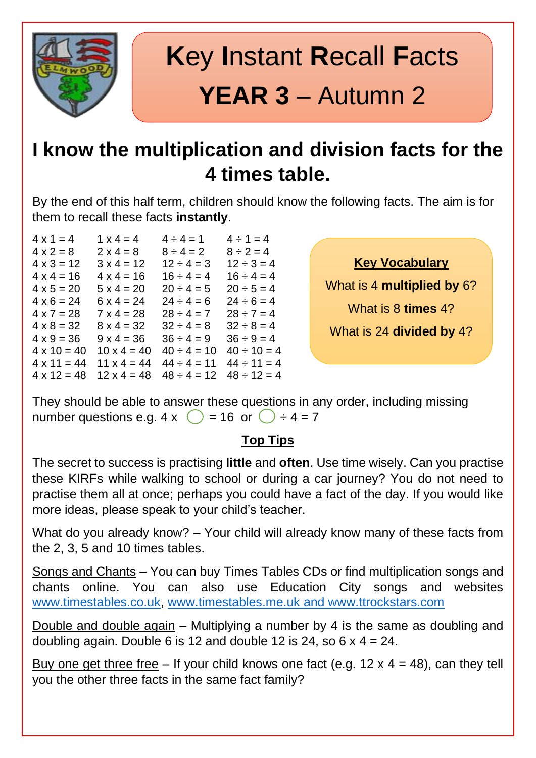

## **K**ey **I**nstant **R**ecall **F**acts **YEAR 3** – Autumn 2

### **I know the multiplication and division facts for the 4 times table.**

By the end of this half term, children should know the following facts. The aim is for them to recall these facts **instantly**.

| $4 \times 1 = 4$   | $1 \times 4 = 4$   | $4 \div 4 = 1$   | $4 \div 1 = 4$   |
|--------------------|--------------------|------------------|------------------|
| $4 \times 2 = 8$   | $2 \times 4 = 8$   | $8 \div 4 = 2$   | $8 \div 2 = 4$   |
| $4 \times 3 = 12$  | $3 \times 4 = 12$  | $12 \div 4 = 3$  | $12 \div 3 = 4$  |
| $4 \times 4 = 16$  | $4 \times 4 = 16$  | $16 \div 4 = 4$  | $16 \div 4 = 4$  |
| $4 \times 5 = 20$  | $5 \times 4 = 20$  | $20 \div 4 = 5$  | $20 \div 5 = 4$  |
| $4 \times 6 = 24$  | $6 \times 4 = 24$  | $24 \div 4 = 6$  | $24 \div 6 = 4$  |
| $4 \times 7 = 28$  | $7 \times 4 = 28$  | $28 \div 4 = 7$  | $28 \div 7 = 4$  |
| $4 \times 8 = 32$  | $8 \times 4 = 32$  | $32 \div 4 = 8$  | $32 \div 8 = 4$  |
| $4 \times 9 = 36$  | $9 \times 4 = 36$  | $36 \div 4 = 9$  | $36 \div 9 = 4$  |
| $4 \times 10 = 40$ | $10 \times 4 = 40$ | $40 \div 4 = 10$ | $40 \div 10 = 4$ |
| $4 \times 11 = 44$ | $11 \times 4 = 44$ | $44 \div 4 = 11$ | $44 \div 11 = 4$ |
| $4 \times 12 = 48$ | $12 \times 4 = 48$ | $48 \div 4 = 12$ | $48 \div 12 = 4$ |

**Key Vocabulary**

What is 4 **multiplied by** 6?

What is 8 **times** 4?

What is 24 **divided by** 4?

They should be able to answer these questions in any order, including missing number questions e.g.  $4 \times \bigcirc$  = 16 or  $\bigcirc$  ÷ 4 = 7

#### **Top Tips**

The secret to success is practising **little** and **often**. Use time wisely. Can you practise these KIRFs while walking to school or during a car journey? You do not need to practise them all at once; perhaps you could have a fact of the day. If you would like more ideas, please speak to your child's teacher.

What do you already know? - Your child will already know many of these facts from the 2, 3, 5 and 10 times tables.

Songs and Chants – You can buy Times Tables CDs or find multiplication songs and chants online. You can also use Education City songs and websites [www.timestables.co.uk,](http://www.timestables.co.uk/) [www.timestables.me.uk](http://www.timestables.me.uk/) and www.ttrockstars.com

Double and double again – Multiplying a number by 4 is the same as doubling and doubling again. Double 6 is 12 and double 12 is 24, so  $6 \times 4 = 24$ .

Buy one get three free – If your child knows one fact (e.g.  $12 \times 4 = 48$ ), can they tell you the other three facts in the same fact family?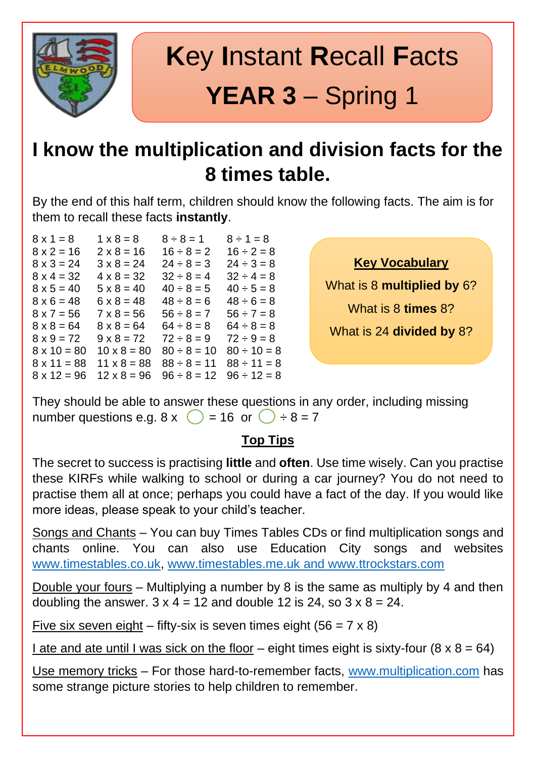

## **K**ey **I**nstant **R**ecall **F**acts **YEAR 3** – Spring 1

### **I know the multiplication and division facts for the 8 times table.**

By the end of this half term, children should know the following facts. The aim is for them to recall these facts **instantly**.

| $8 \times 1 = 8$   | $1 \times 8 = 8$   | $8 \div 8 = 1$   | $8 \div 1 = 8$   |
|--------------------|--------------------|------------------|------------------|
| $8 \times 2 = 16$  | $2 \times 8 = 16$  | $16 \div 8 = 2$  | $16 \div 2 = 8$  |
| $8 \times 3 = 24$  | $3 \times 8 = 24$  | $24 \div 8 = 3$  | $24 \div 3 = 8$  |
| $8 \times 4 = 32$  | $4 \times 8 = 32$  | $32 \div 8 = 4$  | $32 \div 4 = 8$  |
| $8 \times 5 = 40$  | $5 \times 8 = 40$  | $40 \div 8 = 5$  | $40 \div 5 = 8$  |
| $8 \times 6 = 48$  | $6 \times 8 = 48$  | $48 \div 8 = 6$  | $48 \div 6 = 8$  |
| $8 \times 7 = 56$  | $7 \times 8 = 56$  | $56 \div 8 = 7$  | $56 \div 7 = 8$  |
| $8 \times 8 = 64$  | $8 \times 8 = 64$  | $64 \div 8 = 8$  | $64 \div 8 = 8$  |
| $8 \times 9 = 72$  | $9 \times 8 = 72$  | $72 \div 8 = 9$  | $72 \div 9 = 8$  |
| $8 \times 10 = 80$ | $10 \times 8 = 80$ | $80 \div 8 = 10$ | $80 \div 10 = 8$ |
| $8 \times 11 = 88$ | $11 \times 8 = 88$ | $88 \div 8 = 11$ | $88 \div 11 = 8$ |
| $8 \times 12 = 96$ | $12 \times 8 = 96$ | $96 \div 8 = 12$ | $96 \div 12 = 8$ |
|                    |                    |                  |                  |

**Key Vocabulary**

What is 8 **multiplied by** 6?

What is 8 **times** 8?

What is 24 **divided by** 8?

They should be able to answer these questions in any order, including missing number questions e.g.  $8 \times \bigcirc$  = 16 or  $\bigcirc$  ÷ 8 = 7

### **Top Tips**

The secret to success is practising **little** and **often**. Use time wisely. Can you practise these KIRFs while walking to school or during a car journey? You do not need to practise them all at once; perhaps you could have a fact of the day. If you would like more ideas, please speak to your child's teacher.

Songs and Chants – You can buy Times Tables CDs or find multiplication songs and chants online. You can also use Education City songs and websites [www.timestables.co.uk,](http://www.timestables.co.uk/) [www.timestables.me.uk](http://www.timestables.me.uk/) and www.ttrockstars.com

Double your fours – Multiplying a number by 8 is the same as multiply by 4 and then doubling the answer.  $3 \times 4 = 12$  and double 12 is 24, so  $3 \times 8 = 24$ .

Five six seven eight – fifty-six is seven times eight  $(56 = 7 \times 8)$ 

I ate and ate until I was sick on the floor – eight times eight is sixty-four  $(8 \times 8 = 64)$ 

Use memory tricks – For those hard-to-remember facts, [www.multiplication.com](http://www.multiplication.com/) has some strange picture stories to help children to remember.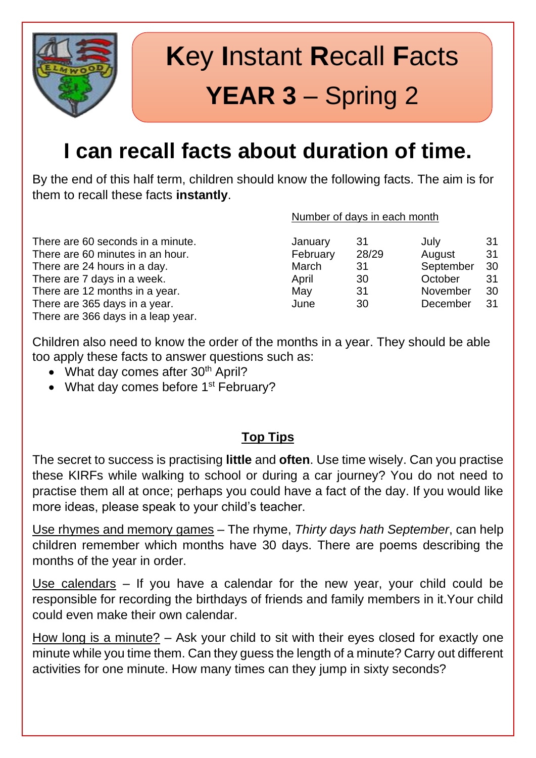

## **K**ey **I**nstant **R**ecall **F**acts **YEAR 3** – Spring 2

## **I can recall facts about duration of time.**

By the end of this half term, children should know the following facts. The aim is for them to recall these facts **instantly**.

There are 60 seconds in a minute. There are 60 minutes in an hour. There are 24 hours in a day. There are 7 days in a week. There are 12 months in a year. There are 365 days in a year. There are 366 days in a leap year.

|  | Number of days in each month |  |
|--|------------------------------|--|
|  |                              |  |

| January  | 31    | July      | 31 |
|----------|-------|-----------|----|
| February | 28/29 | August    | 31 |
| March    | 31    | September | 30 |
| April    | 30    | October   | 31 |
| May      | 31    | November  | 30 |
| June     | 30    | December  | 31 |
|          |       |           |    |

Children also need to know the order of the months in a year. They should be able too apply these facts to answer questions such as:

- What day comes after  $30<sup>th</sup>$  April?
- What day comes before 1<sup>st</sup> February?

#### **Top Tips**

The secret to success is practising **little** and **often**. Use time wisely. Can you practise these KIRFs while walking to school or during a car journey? You do not need to practise them all at once; perhaps you could have a fact of the day. If you would like more ideas, please speak to your child's teacher.

Use rhymes and memory games – The rhyme, *Thirty days hath September*, can help children remember which months have 30 days. There are poems describing the months of the year in order.

Use calendars – If you have a calendar for the new year, your child could be responsible for recording the birthdays of friends and family members in it.Your child could even make their own calendar.

How long is a minute? – Ask your child to sit with their eyes closed for exactly one minute while you time them. Can they guess the length of a minute? Carry out different activities for one minute. How many times can they jump in sixty seconds?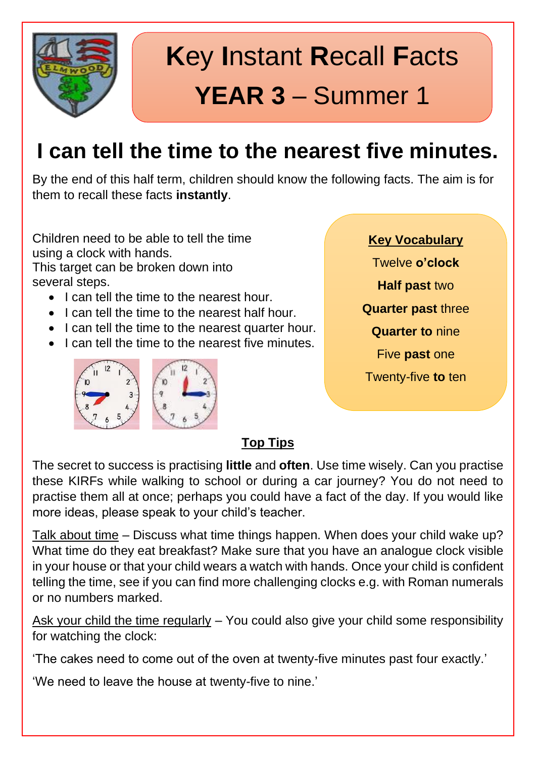

## **K**ey **I**nstant **R**ecall **F**acts **YEAR 3** – Summer 1

## **I can tell the time to the nearest five minutes.**

By the end of this half term, children should know the following facts. The aim is for them to recall these facts **instantly**.

Children need to be able to tell the time using a clock with hands.

This target can be broken down into several steps.

- I can tell the time to the nearest hour.
- I can tell the time to the nearest half hour.
- I can tell the time to the nearest quarter hour.
- I can tell the time to the nearest five minutes.



#### **Key Vocabulary**

Twelve **o'clock**

**Half past** two

**Quarter past** three

**Quarter to** nine

Five **past** one

Twenty-five **to** ten

### **Top Tips**

The secret to success is practising **little** and **often**. Use time wisely. Can you practise these KIRFs while walking to school or during a car journey? You do not need to practise them all at once; perhaps you could have a fact of the day. If you would like more ideas, please speak to your child's teacher.

Talk about time – Discuss what time things happen. When does your child wake up? What time do they eat breakfast? Make sure that you have an analogue clock visible in your house or that your child wears a watch with hands. Once your child is confident telling the time, see if you can find more challenging clocks e.g. with Roman numerals or no numbers marked.

Ask your child the time regularly – You could also give your child some responsibility for watching the clock:

'The cakes need to come out of the oven at twenty-five minutes past four exactly.'

'We need to leave the house at twenty-five to nine.'